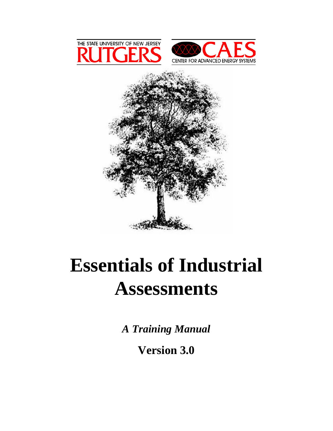

## **Essentials of Industrial Assessments**

*A Training Manual* 

**Version 3.0**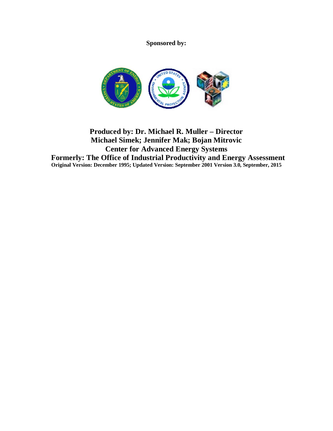**Sponsored by:** 



## **Produced by: Dr. Michael R. Muller – Director Michael Simek; Jennifer Mak; Bojan Mitrovic Center for Advanced Energy Systems Formerly: The Office of Industrial Productivity and Energy Assessment Original Version: December 1995; Updated Version: September 2001 Version 3.0, September, 2015**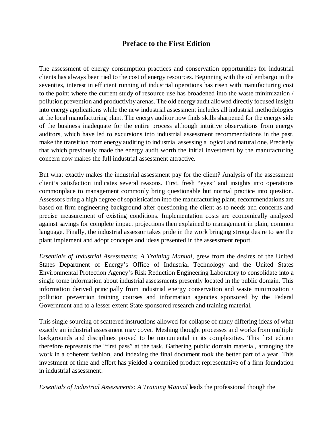## **Preface to the First Edition**

The assessment of energy consumption practices and conservation opportunities for industrial clients has always been tied to the cost of energy resources. Beginning with the oil embargo in the seventies, interest in efficient running of industrial operations has risen with manufacturing cost to the point where the current study of resource use has broadened into the waste minimization / pollution prevention and productivity arenas. The old energy audit allowed directly focused insight into energy applications while the new industrial assessment includes all industrial methodologies at the local manufacturing plant. The energy auditor now finds skills sharpened for the energy side of the business inadequate for the entire process although intuitive observations from energy auditors, which have led to excursions into industrial assessment recommendations in the past, make the transition from energy auditing to industrial assessing a logical and natural one. Precisely that which previously made the energy audit worth the initial investment by the manufacturing concern now makes the full industrial assessment attractive.

But what exactly makes the industrial assessment pay for the client? Analysis of the assessment client's satisfaction indicates several reasons. First, fresh "eyes" and insights into operations commonplace to management commonly bring questionable but normal practice into question. Assessors bring a high degree of sophistication into the manufacturing plant, recommendations are based on firm engineering background after questioning the client as to needs and concerns and precise measurement of existing conditions. Implementation costs are economically analyzed against savings for complete impact projections then explained to management in plain, common language. Finally, the industrial assessor takes pride in the work bringing strong desire to see the plant implement and adopt concepts and ideas presented in the assessment report.

*Essentials of Industrial Assessments: A Training Manual*, grew from the desires of the United States Department of Energy's Office of Industrial Technology and the United States Environmental Protection Agency's Risk Reduction Engineering Laboratory to consolidate into a single tome information about industrial assessments presently located in the public domain. This information derived principally from industrial energy conservation and waste minimization / pollution prevention training courses and information agencies sponsored by the Federal Government and to a lesser extent State sponsored research and training material.

This single sourcing of scattered instructions allowed for collapse of many differing ideas of what exactly an industrial assessment may cover. Meshing thought processes and works from multiple backgrounds and disciplines proved to be monumental in its complexities. This first edition therefore represents the "first pass" at the task. Gathering public domain material, arranging the work in a coherent fashion, and indexing the final document took the better part of a year. This investment of time and effort has yielded a compiled product representative of a firm foundation in industrial assessment.

*Essentials of Industrial Assessments: A Training Manual* leads the professional though the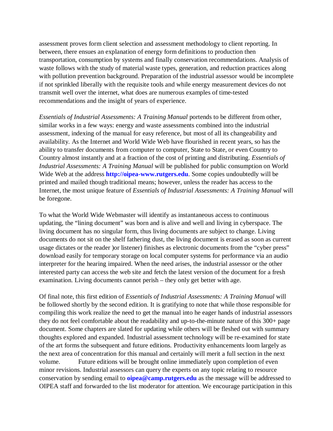assessment proves form client selection and assessment methodology to client reporting. In between, there ensues an explanation of energy form definitions to production then transportation, consumption by systems and finally conservation recommendations. Analysis of waste follows with the study of material waste types, generation, and reduction practices along with pollution prevention background. Preparation of the industrial assessor would be incomplete if not sprinkled liberally with the requisite tools and while energy measurement devices do not transmit well over the internet, what does are numerous examples of time-tested recommendations and the insight of years of experience.

*Essentials of Industrial Assessments: A Training Manual* portends to be different from other, similar works in a few ways: energy and waste assessments combined into the industrial assessment, indexing of the manual for easy reference, but most of all its changeability and availability. As the Internet and World Wide Web have flourished in recent years, so has the ability to transfer documents from computer to computer, State to State, or even Country to Country almost instantly and at a fraction of the cost of printing and distributing. *Essentials of Industrial Assessments: A Training Manual* will be published for public consumption on World Wide Web at the address **http://oipea-www.rutgers.edu**. Some copies undoubtedly will be printed and mailed though traditional means; however, unless the reader has access to the Internet, the most unique feature of *Essentials of Industrial Assessments: A Training Manual* will be foregone.

To what the World Wide Webmaster will identify as instantaneous access to continuous updating, the "lining document" was born and is alive and well and living in cyberspace. The living document has no singular form, thus living documents are subject to change. Living documents do not sit on the shelf fathering dust, the living document is erased as soon as current usage dictates or the reader )or listener) finishes as electronic documents from the "cyber press" download easily for temporary storage on local computer systems for performance via an audio interpreter for the hearing impaired. When the need arises, the industrial assessor or the other interested party can access the web site and fetch the latest version of the document for a fresh examination. Living documents cannot perish – they only get better with age.

Of final note, this first edition of *Essentials of Industrial Assessments: A Training Manual* will be followed shortly by the second edition. It is gratifying to note that while those responsible for compiling this work realize the need to get the manual into he eager hands of industrial assessors they do not feel comfortable about the readability and up-to-the-minute nature of this 300+ page document. Some chapters are slated for updating while others will be fleshed out with summary thoughts explored and expanded. Industrial assessment technology will be re-examined for state of the art forms the subsequent and future editions. Productivity enhancements loom largely as the next area of concentration for this manual and certainly will merit a full section in the next volume. Future editions will be brought online immediately upon completion of even minor revisions. Industrial assessors can query the experts on any topic relating to resource conservation by sending email to **oipea@camp.rutgers.edu** as the message will be addressed to OIPEA staff and forwarded to the list moderator for attention. We encourage participation in this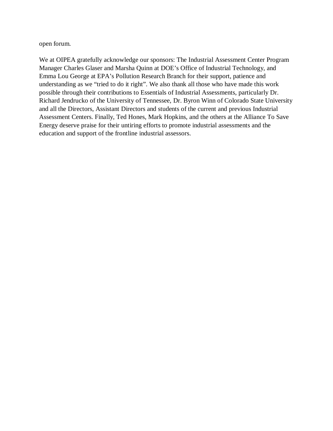open forum.

We at OIPEA gratefully acknowledge our sponsors: The Industrial Assessment Center Program Manager Charles Glaser and Marsha Quinn at DOE's Office of Industrial Technology, and Emma Lou George at EPA's Pollution Research Branch for their support, patience and understanding as we "tried to do it right". We also thank all those who have made this work possible through their contributions to Essentials of Industrial Assessments, particularly Dr. Richard Jendrucko of the University of Tennessee, Dr. Byron Winn of Colorado State University and all the Directors, Assistant Directors and students of the current and previous Industrial Assessment Centers. Finally, Ted Hones, Mark Hopkins, and the others at the Alliance To Save Energy deserve praise for their untiring efforts to promote industrial assessments and the education and support of the frontline industrial assessors.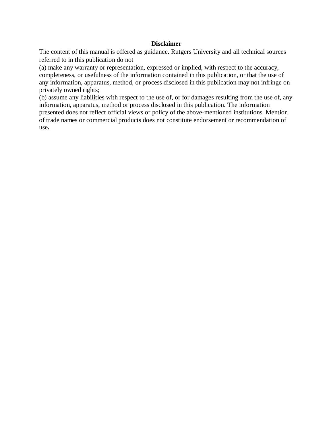## **Disclaimer**

The content of this manual is offered as guidance. Rutgers University and all technical sources referred to in this publication do not

(a) make any warranty or representation, expressed or implied, with respect to the accuracy, completeness, or usefulness of the information contained in this publication, or that the use of any information, apparatus, method, or process disclosed in this publication may not infringe on privately owned rights;

(b) assume any liabilities with respect to the use of, or for damages resulting from the use of, any information, apparatus, method or process disclosed in this publication. The information presented does not reflect official views or policy of the above-mentioned institutions. Mention of trade names or commercial products does not constitute endorsement or recommendation of use**.**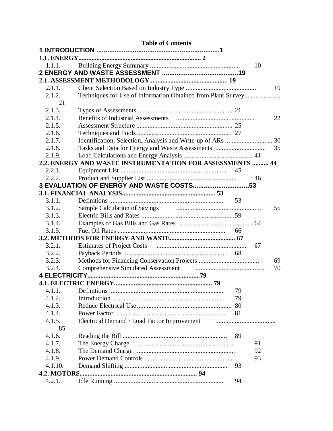| <b>Table of Contents</b> |                                                                                               |    |    |  |
|--------------------------|-----------------------------------------------------------------------------------------------|----|----|--|
|                          |                                                                                               |    |    |  |
|                          |                                                                                               |    |    |  |
| 1.1.1.                   |                                                                                               |    | 10 |  |
|                          |                                                                                               |    |    |  |
|                          |                                                                                               |    |    |  |
| 2.1.1.                   |                                                                                               |    | 19 |  |
| 2.1.2.                   | Techniques for Use of Information Obtained from Plant Survey                                  |    |    |  |
| 21                       |                                                                                               |    |    |  |
| 2.1.3.                   |                                                                                               |    |    |  |
| 2.1.4.                   |                                                                                               |    | 22 |  |
| 2.1.5.                   |                                                                                               |    |    |  |
| 2.1.6.                   |                                                                                               |    |    |  |
| 2.1.7.                   |                                                                                               |    |    |  |
| 2.1.8.                   |                                                                                               |    | 35 |  |
| 2.1.9.                   |                                                                                               |    |    |  |
|                          | 2.2. ENERGY AND WASTE INSTRUMENTATION FOR ASSESSMENTS  44                                     |    |    |  |
| 2.2.1.                   |                                                                                               | 45 |    |  |
| 2.2.2.                   |                                                                                               |    | 46 |  |
|                          | 3 EVALUATION OF ENERGY AND WASTE COSTS53                                                      |    |    |  |
|                          |                                                                                               |    |    |  |
| 3.1.1.                   |                                                                                               |    |    |  |
| 3.1.2.                   |                                                                                               |    | 55 |  |
| 3.1.3.                   |                                                                                               |    |    |  |
| 3.1.4.                   |                                                                                               |    |    |  |
| 3.1.5.                   |                                                                                               |    |    |  |
| 3.2.1.                   |                                                                                               |    | 67 |  |
| 3.2.2.                   |                                                                                               |    |    |  |
| 3.2.3.                   |                                                                                               |    | 69 |  |
| 3.2.4.                   |                                                                                               |    | 70 |  |
|                          | Comprehensive Simulated Assessment <b>Comprehensive Simulated Assessment</b>                  |    |    |  |
|                          |                                                                                               |    |    |  |
| 4.1.1.                   |                                                                                               | 79 |    |  |
| 4.1.2.                   |                                                                                               | 79 |    |  |
| 4.1.3.                   |                                                                                               |    |    |  |
| 4.1.4.                   |                                                                                               |    |    |  |
| 4.1.5.                   | Electrical Demand / Load Factor Improvement manufactured and Demand / Load Factor Improvement |    |    |  |
| 85                       |                                                                                               |    |    |  |
| 4.1.6.                   |                                                                                               | 89 |    |  |
| 4.1.7.                   |                                                                                               |    | 91 |  |
| 4.1.8.                   |                                                                                               |    | 92 |  |
| 4.1.9.                   |                                                                                               |    | 93 |  |
| 4.1.10.                  |                                                                                               | 93 |    |  |
|                          |                                                                                               |    |    |  |
| 4.2.1.                   |                                                                                               | 94 |    |  |
|                          |                                                                                               |    |    |  |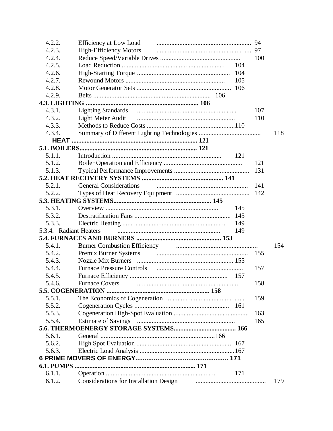| 4.2.2.                 | Efficiency at Low Load manufactured and the contract of the contract of the contract of the contract of the contract of the contract of the contract of the contract of the contract of the contract of the contract of the co      |     | 94  |  |
|------------------------|-------------------------------------------------------------------------------------------------------------------------------------------------------------------------------------------------------------------------------------|-----|-----|--|
| 4.2.3.                 | High-Efficiency Motors                                                                                                                                                                                                              |     | 97  |  |
| 4.2.4.                 |                                                                                                                                                                                                                                     |     | 100 |  |
| 4.2.5.                 |                                                                                                                                                                                                                                     | 104 |     |  |
| 4.2.6.                 |                                                                                                                                                                                                                                     | 104 |     |  |
| 4.2.7.                 |                                                                                                                                                                                                                                     | 105 |     |  |
| 4.2.8.                 |                                                                                                                                                                                                                                     | 106 |     |  |
| 4.2.9.                 |                                                                                                                                                                                                                                     |     |     |  |
|                        |                                                                                                                                                                                                                                     |     |     |  |
| 4.3.1.                 |                                                                                                                                                                                                                                     |     | 107 |  |
| 4.3.2.                 |                                                                                                                                                                                                                                     |     | 110 |  |
| 4.3.3.                 |                                                                                                                                                                                                                                     |     |     |  |
| 4.3.4.                 |                                                                                                                                                                                                                                     |     | 118 |  |
|                        |                                                                                                                                                                                                                                     |     |     |  |
|                        |                                                                                                                                                                                                                                     |     |     |  |
| 5.1.1.                 |                                                                                                                                                                                                                                     | 121 |     |  |
| 5.1.2.                 |                                                                                                                                                                                                                                     |     | 121 |  |
| 5.1.3.                 |                                                                                                                                                                                                                                     |     | 131 |  |
|                        |                                                                                                                                                                                                                                     |     |     |  |
| 5.2.1.                 |                                                                                                                                                                                                                                     |     | 141 |  |
| 5.2.2.                 |                                                                                                                                                                                                                                     |     |     |  |
|                        |                                                                                                                                                                                                                                     |     |     |  |
| 5.3.1.                 |                                                                                                                                                                                                                                     | 145 |     |  |
| 5.3.2.                 |                                                                                                                                                                                                                                     | 145 |     |  |
| 5.3.3.                 |                                                                                                                                                                                                                                     | 149 |     |  |
| 5.3.4. Radiant Heaters |                                                                                                                                                                                                                                     | 149 |     |  |
|                        |                                                                                                                                                                                                                                     |     |     |  |
| 5.4.1.                 | Burner Combustion Efficiency <b>Communication</b> Communication of the Communication of the Communication of the Communication of the Communication of the Communication of the Communication of the Communication of the Communica |     | 154 |  |
| 5.4.2.                 |                                                                                                                                                                                                                                     |     | 155 |  |
| 5.4.3.                 |                                                                                                                                                                                                                                     |     |     |  |
| 5.4.4.                 |                                                                                                                                                                                                                                     |     | 157 |  |
| 5.4.5.                 |                                                                                                                                                                                                                                     |     |     |  |
| 5.4.6.                 |                                                                                                                                                                                                                                     |     | 158 |  |
|                        |                                                                                                                                                                                                                                     |     |     |  |
| 5.5.1.                 |                                                                                                                                                                                                                                     |     | 159 |  |
| 5.5.2.                 |                                                                                                                                                                                                                                     |     |     |  |
| 5.5.3.                 |                                                                                                                                                                                                                                     |     | 163 |  |
| 5.5.4.                 |                                                                                                                                                                                                                                     |     | 165 |  |
|                        |                                                                                                                                                                                                                                     |     |     |  |
| 5.6.1.                 |                                                                                                                                                                                                                                     |     |     |  |
| 5.6.2.                 |                                                                                                                                                                                                                                     |     |     |  |
| 5.6.3.                 |                                                                                                                                                                                                                                     |     |     |  |
|                        |                                                                                                                                                                                                                                     |     |     |  |
|                        |                                                                                                                                                                                                                                     |     |     |  |
| 6.1.1.                 |                                                                                                                                                                                                                                     | 171 |     |  |
| 6.1.2.                 | Considerations for Installation Design <b>manufacturers</b> and the considerations for Installation Design                                                                                                                          |     | 179 |  |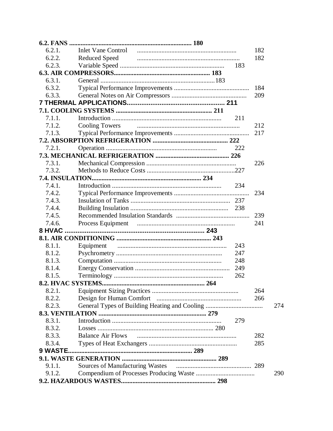| 6.2.1.             |                                               |     | 182 |     |
|--------------------|-----------------------------------------------|-----|-----|-----|
| 6.2.2.             | <b>Reduced Speed</b>                          |     | 182 |     |
| 6.2.3.             |                                               | 183 |     |     |
|                    |                                               |     |     |     |
| 6.3.1.             |                                               |     |     |     |
| 6.3.2.             |                                               |     | 184 |     |
| 6.3.3.             |                                               |     | 209 |     |
|                    |                                               |     |     |     |
|                    |                                               |     |     |     |
| 7.1.1.             |                                               | 211 |     |     |
| 7.1.2.             | <b>Cooling Towers</b>                         |     | 212 |     |
| 7.1.3.             |                                               |     | 217 |     |
|                    |                                               |     |     |     |
| 7.2.1.             |                                               | 222 |     |     |
|                    |                                               |     |     |     |
| 7.3.1.             |                                               |     | 226 |     |
| 7.3.2.             |                                               |     |     |     |
|                    |                                               |     |     |     |
| 7.4.1.             |                                               | 234 |     |     |
| 7.4.2.             |                                               |     | 234 |     |
| 7.4.3.             |                                               |     |     |     |
| 7.4.4.             |                                               |     |     |     |
| 7.4.5.             |                                               |     | 239 |     |
| 7.4.6.             |                                               |     | 241 |     |
|                    |                                               |     |     |     |
|                    |                                               |     |     |     |
| 8.1.1.             | Equipment                                     | 243 |     |     |
| 8.1.2.             |                                               | 247 |     |     |
| 8.1.3.             |                                               | 248 |     |     |
| 8.1.4.             |                                               | 249 |     |     |
| 8.1.5.             |                                               | 262 |     |     |
| 8.2. HVAC SYSTEMS. | 264                                           |     |     |     |
| 8.2.1.             |                                               |     | 264 |     |
| 8.2.2.             |                                               |     | 266 |     |
| 8.2.3.             | General Types of Building Heating and Cooling |     |     | 274 |
|                    |                                               |     |     |     |
| 8.3.1.             |                                               | 279 |     |     |
| 8.3.2.             |                                               |     |     |     |
| 8.3.3.             | <b>Balance Air Flows</b>                      |     | 282 |     |
| 8.3.4.             |                                               |     | 285 |     |
| 9 WASTE.           |                                               |     |     |     |
|                    |                                               |     |     |     |
| 9.1.1.             |                                               |     |     |     |
| 9.1.2.             |                                               |     |     | 290 |
|                    |                                               |     |     |     |